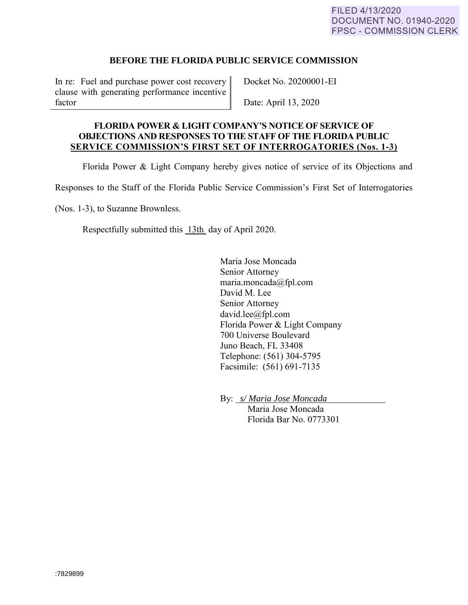## **BEFORE THE FLORIDA PUBLIC SERVICE COMMISSION**

In re: Fuel and purchase power cost recovery clause with generating performance incentive factor

Docket No. 20200001-EI

Date: April 13, 2020

## **FLORIDA POWER & LIGHT COMPANY'S NOTICE OF SERVICE OF OBJECTIONS AND RESPONSES TO THE STAFF OF THE FLORIDA PUBLIC SERVICE COMMISSION'S FIRST SET OF INTERROGATORIES (Nos. 1-3)**

Florida Power & Light Company hereby gives notice of service of its Objections and

Responses to the Staff of the Florida Public Service Commission's First Set of Interrogatories

(Nos. 1-3), to Suzanne Brownless.

Respectfully submitted this 13th day of April 2020.

Maria Jose Moncada Senior Attorney maria.moncada@fpl.com David M. Lee Senior Attorney david.lee@fpl.com Florida Power & Light Company 700 Universe Boulevard Juno Beach, FL 33408 Telephone: (561) 304-5795 Facsimile: (561) 691-7135

By: *s/ Maria Jose Moncada* 

Maria Jose Moncada Florida Bar No. 0773301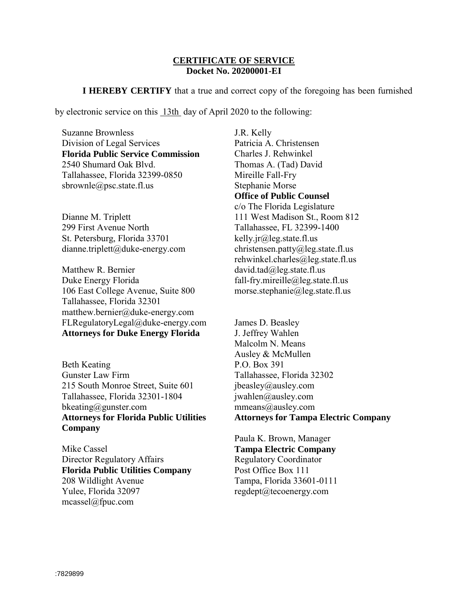## **CERTIFICATE OF SERVICE Docket No. 20200001-EI**

**I HEREBY CERTIFY** that a true and correct copy of the foregoing has been furnished

by electronic service on this 13th day of April 2020 to the following:

Suzanne Brownless Division of Legal Services **Florida Public Service Commission** 2540 Shumard Oak Blvd. Tallahassee, Florida 32399-0850 sbrownle@psc.state.fl.us

Dianne M. Triplett 299 First Avenue North St. Petersburg, Florida 33701 dianne.triplett@duke-energy.com

Matthew R. Bernier Duke Energy Florida 106 East College Avenue, Suite 800 Tallahassee, Florida 32301 matthew.bernier@duke-energy.com FLRegulatoryLegal@duke-energy.com **Attorneys for Duke Energy Florida**

Beth Keating Gunster Law Firm 215 South Monroe Street, Suite 601 Tallahassee, Florida 32301-1804 bkeating@gunster.com **Attorneys for Florida Public Utilities Company**

Mike Cassel Director Regulatory Affairs **Florida Public Utilities Company** 208 Wildlight Avenue Yulee, Florida 32097 mcassel@fpuc.com

J.R. Kelly Patricia A. Christensen Charles J. Rehwinkel Thomas A. (Tad) David Mireille Fall-Fry Stephanie Morse **Office of Public Counsel** c/o The Florida Legislature

111 West Madison St., Room 812 Tallahassee, FL 32399-1400 kelly.jr@leg.state.fl.us christensen.patty@leg.state.fl.us rehwinkel.charles@leg.state.fl.us david.tad@leg.state.fl.us fall-fry.mireille@leg.state.fl.us morse.stephanie@leg.state.fl.us

James D. Beasley J. Jeffrey Wahlen Malcolm N. Means Ausley & McMullen P.O. Box 391 Tallahassee, Florida 32302 jbeasley@ausley.com jwahlen@ausley.com mmeans@ausley.com **Attorneys for Tampa Electric Company**

Paula K. Brown, Manager **Tampa Electric Company** Regulatory Coordinator Post Office Box 111 Tampa, Florida 33601-0111 regdept@tecoenergy.com